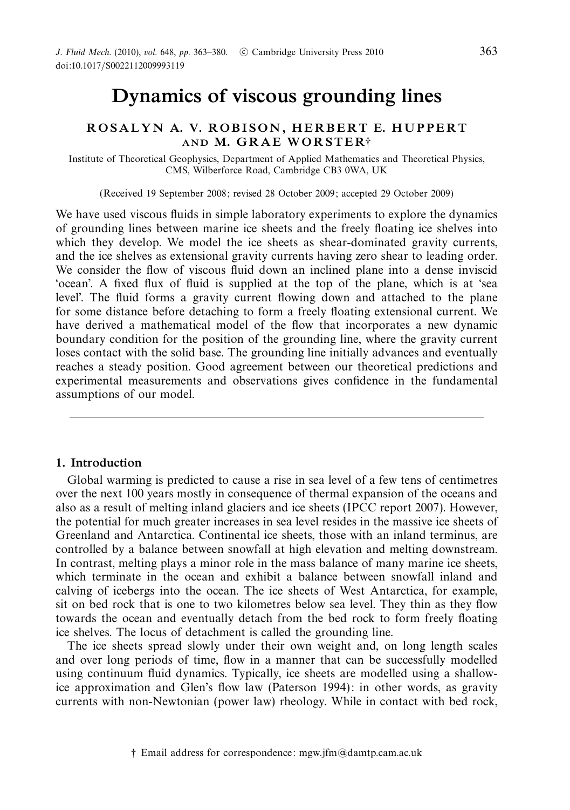# *Dynamics of viscous grounding lines*

# **ROSALYN A. V. ROBISON, HERBERT E. HUPPERT** *AND M. G R A E W O R S T E R*†

Institute of Theoretical Geophysics, Department of Applied Mathematics and Theoretical Physics, CMS, Wilberforce Road, Cambridge CB3 0WA, UK

(Received 19 September 2008; revised 28 October 2009; accepted 29 October 2009)

We have used viscous fluids in simple laboratory experiments to explore the dynamics of grounding lines between marine ice sheets and the freely floating ice shelves into which they develop. We model the ice sheets as shear-dominated gravity currents, and the ice shelves as extensional gravity currents having zero shear to leading order. We consider the flow of viscous fluid down an inclined plane into a dense inviscid 'ocean'. A fixed flux of fluid is supplied at the top of the plane, which is at 'sea level'. The fluid forms a gravity current flowing down and attached to the plane for some distance before detaching to form a freely floating extensional current. We have derived a mathematical model of the flow that incorporates a new dynamic boundary condition for the position of the grounding line, where the gravity current loses contact with the solid base. The grounding line initially advances and eventually reaches a steady position. Good agreement between our theoretical predictions and experimental measurements and observations gives confidence in the fundamental assumptions of our model.

#### *1. Introduction*

Global warming is predicted to cause a rise in sea level of a few tens of centimetres over the next 100 years mostly in consequence of thermal expansion of the oceans and also as a result of melting inland glaciers and ice sheets (IPCC report 2007). However, the potential for much greater increases in sea level resides in the massive ice sheets of Greenland and Antarctica. Continental ice sheets, those with an inland terminus, are controlled by a balance between snowfall at high elevation and melting downstream. In contrast, melting plays a minor role in the mass balance of many marine ice sheets, which terminate in the ocean and exhibit a balance between snowfall inland and calving of icebergs into the ocean. The ice sheets of West Antarctica, for example, sit on bed rock that is one to two kilometres below sea level. They thin as they flow towards the ocean and eventually detach from the bed rock to form freely floating ice shelves. The locus of detachment is called the grounding line.

The ice sheets spread slowly under their own weight and, on long length scales and over long periods of time, flow in a manner that can be successfully modelled using continuum fluid dynamics. Typically, ice sheets are modelled using a shallowice approximation and Glen's flow law (Paterson 1994): in other words, as gravity currents with non-Newtonian (power law) rheology. While in contact with bed rock,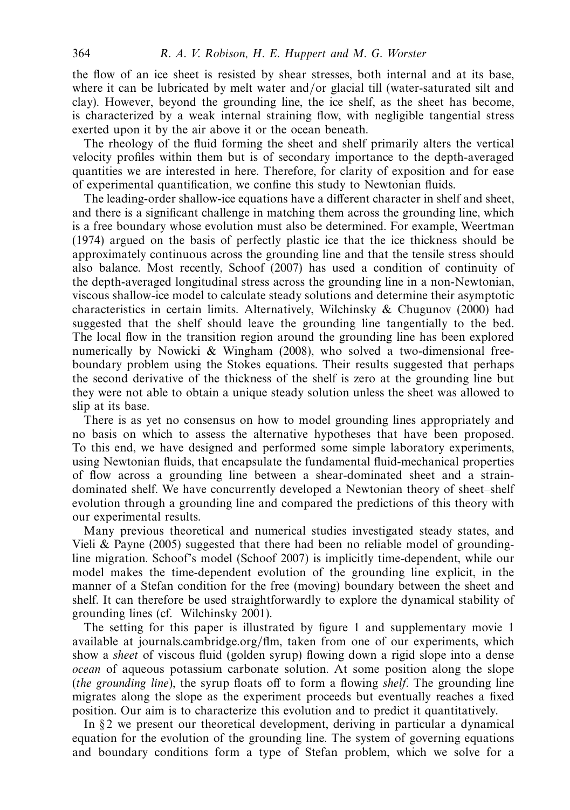the flow of an ice sheet is resisted by shear stresses, both internal and at its base, where it can be lubricated by melt water and/or glacial till (water-saturated silt and clay). However, beyond the grounding line, the ice shelf, as the sheet has become, is characterized by a weak internal straining flow, with negligible tangential stress exerted upon it by the air above it or the ocean beneath.

The rheology of the fluid forming the sheet and shelf primarily alters the vertical velocity profiles within them but is of secondary importance to the depth-averaged quantities we are interested in here. Therefore, for clarity of exposition and for ease of experimental quantification, we confine this study to Newtonian fluids.

The leading-order shallow-ice equations have a different character in shelf and sheet, and there is a significant challenge in matching them across the grounding line, which is a free boundary whose evolution must also be determined. For example, Weertman (1974) argued on the basis of perfectly plastic ice that the ice thickness should be approximately continuous across the grounding line and that the tensile stress should also balance. Most recently, Schoof (2007) has used a condition of continuity of the depth-averaged longitudinal stress across the grounding line in a non-Newtonian, viscous shallow-ice model to calculate steady solutions and determine their asymptotic characteristics in certain limits. Alternatively, Wilchinsky & Chugunov (2000) had suggested that the shelf should leave the grounding line tangentially to the bed. The local flow in the transition region around the grounding line has been explored numerically by Nowicki & Wingham (2008), who solved a two-dimensional freeboundary problem using the Stokes equations. Their results suggested that perhaps the second derivative of the thickness of the shelf is zero at the grounding line but they were not able to obtain a unique steady solution unless the sheet was allowed to slip at its base.

There is as yet no consensus on how to model grounding lines appropriately and no basis on which to assess the alternative hypotheses that have been proposed. To this end, we have designed and performed some simple laboratory experiments, using Newtonian fluids, that encapsulate the fundamental fluid-mechanical properties of flow across a grounding line between a shear-dominated sheet and a straindominated shelf. We have concurrently developed a Newtonian theory of sheet–shelf evolution through a grounding line and compared the predictions of this theory with our experimental results.

Many previous theoretical and numerical studies investigated steady states, and Vieli & Payne (2005) suggested that there had been no reliable model of groundingline migration. Schoof's model (Schoof 2007) is implicitly time-dependent, while our model makes the time-dependent evolution of the grounding line explicit, in the manner of a Stefan condition for the free (moving) boundary between the sheet and shelf. It can therefore be used straightforwardly to explore the dynamical stability of grounding lines (cf. Wilchinsky 2001).

The setting for this paper is illustrated by figure 1 and supplementary movie 1 available at journals.cambridge.org/flm, taken from one of our experiments, which show a sheet of viscous fluid (golden syrup) flowing down a rigid slope into a dense ocean of aqueous potassium carbonate solution. At some position along the slope (the grounding line), the syrup floats off to form a flowing shelf. The grounding line migrates along the slope as the experiment proceeds but eventually reaches a fixed position. Our aim is to characterize this evolution and to predict it quantitatively.

In  $\S$ 2 we present our theoretical development, deriving in particular a dynamical equation for the evolution of the grounding line. The system of governing equations and boundary conditions form a type of Stefan problem, which we solve for a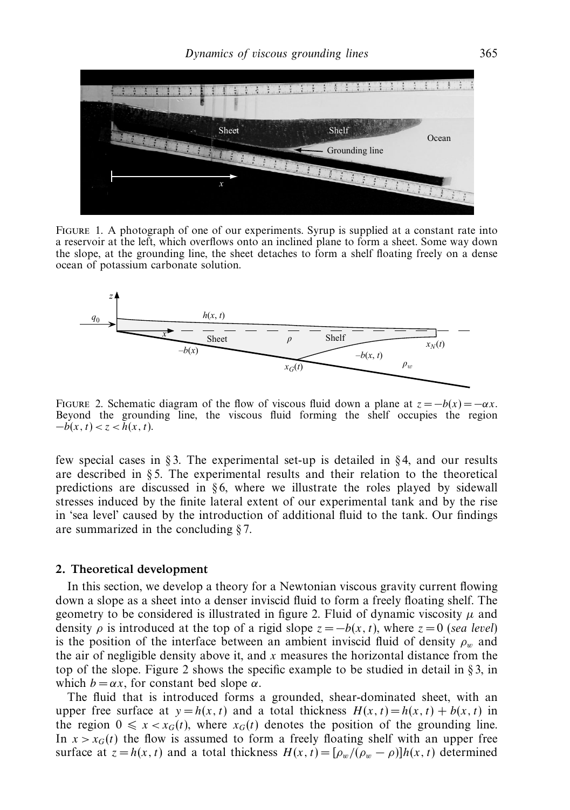

Figure 1. A photograph of one of our experiments. Syrup is supplied at a constant rate into a reservoir at the left, which overflows onto an inclined plane to form a sheet. Some way down the slope, at the grounding line, the sheet detaches to form a shelf floating freely on a dense ocean of potassium carbonate solution.



FIGURE 2. Schematic diagram of the flow of viscous fluid down a plane at  $z = -b(x) = -\alpha x$ . Beyond the grounding line, the viscous fluid forming the shelf occupies the region  $-b(x, t) < z < h(x, t).$ 

few special cases in § 3. The experimental set-up is detailed in § 4, and our results are described in  $\S 5$ . The experimental results and their relation to the theoretical predictions are discussed in  $§6$ , where we illustrate the roles played by sidewall stresses induced by the finite lateral extent of our experimental tank and by the rise in 'sea level' caused by the introduction of additional fluid to the tank. Our findings are summarized in the concluding § 7.

#### *2. Theoretical development*

In this section, we develop a theory for a Newtonian viscous gravity current flowing down a slope as a sheet into a denser inviscid fluid to form a freely floating shelf. The geometry to be considered is illustrated in figure 2. Fluid of dynamic viscosity  $\mu$  and density  $\rho$  is introduced at the top of a rigid slope  $z = -b(x, t)$ , where  $z = 0$  (sea level) is the position of the interface between an ambient inviscid fluid of density  $\rho_w$  and the air of negligible density above it, and *x* measures the horizontal distance from the top of the slope. Figure 2 shows the specific example to be studied in detail in § 3, in which  $b = \alpha x$ , for constant bed slope  $\alpha$ .

The fluid that is introduced forms a grounded, shear-dominated sheet, with an upper free surface at  $y = h(x, t)$  and a total thickness  $H(x, t) = h(x, t) + b(x, t)$  in the region  $0 \le x < x_G(t)$ , where  $x_G(t)$  denotes the position of the grounding line. In  $x > x_G(t)$  the flow is assumed to form a freely floating shelf with an upper free surface at  $z = h(x, t)$  and a total thickness  $H(x, t) = [\rho_w/(\rho_w - \rho)]h(x, t)$  determined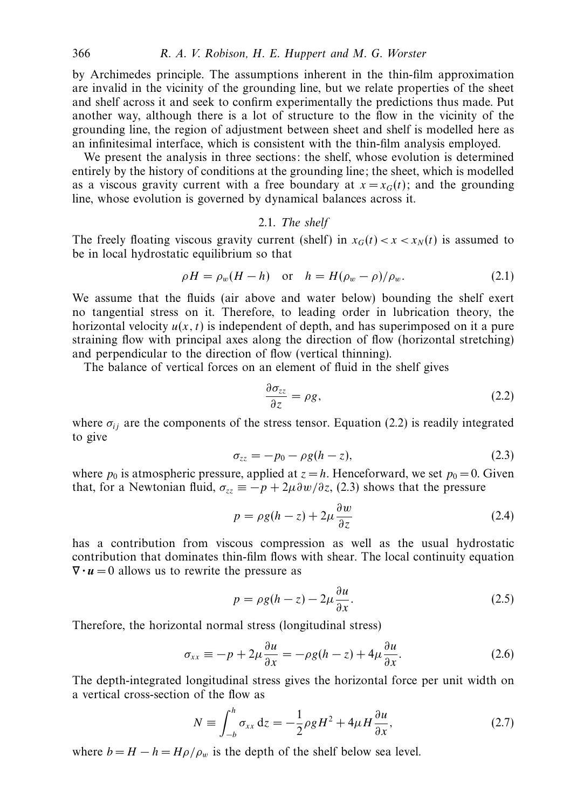by Archimedes principle. The assumptions inherent in the thin-film approximation are invalid in the vicinity of the grounding line, but we relate properties of the sheet and shelf across it and seek to confirm experimentally the predictions thus made. Put another way, although there is a lot of structure to the flow in the vicinity of the grounding line, the region of adjustment between sheet and shelf is modelled here as an infinitesimal interface, which is consistent with the thin-film analysis employed.

We present the analysis in three sections: the shelf, whose evolution is determined entirely by the history of conditions at the grounding line; the sheet, which is modelled as a viscous gravity current with a free boundary at  $x = x<sub>G</sub>(t)$ ; and the grounding line, whose evolution is governed by dynamical balances across it.

## 2.1. The shelf

The freely floating viscous gravity current (shelf) in  $x_G(t) < x < x_N(t)$  is assumed to be in local hydrostatic equilibrium so that

$$
\rho H = \rho_w (H - h) \quad \text{or} \quad h = H(\rho_w - \rho) / \rho_w. \tag{2.1}
$$

We assume that the fluids (air above and water below) bounding the shelf exert no tangential stress on it. Therefore, to leading order in lubrication theory, the horizontal velocity  $u(x, t)$  is independent of depth, and has superimposed on it a pure straining flow with principal axes along the direction of flow (horizontal stretching) and perpendicular to the direction of flow (vertical thinning).

The balance of vertical forces on an element of fluid in the shelf gives

$$
\frac{\partial \sigma_{zz}}{\partial z} = \rho g,\tag{2.2}
$$

where  $\sigma_{ij}$  are the components of the stress tensor. Equation (2.2) is readily integrated to give

$$
\sigma_{zz} = -p_0 - \rho g (h - z), \qquad (2.3)
$$

where  $p_0$  is atmospheric pressure, applied at  $z = h$ . Henceforward, we set  $p_0 = 0$ . Given that, for a Newtonian fluid,  $\sigma_{zz} \equiv -p + 2\mu \partial w / \partial z$ , (2.3) shows that the pressure

$$
p = \rho g(h - z) + 2\mu \frac{\partial w}{\partial z} \tag{2.4}
$$

has a contribution from viscous compression as well as the usual hydrostatic contribution that dominates thin-film flows with shear. The local continuity equation  $\nabla \cdot \mathbf{u} = 0$  allows us to rewrite the pressure as

$$
p = \rho g(h - z) - 2\mu \frac{\partial u}{\partial x}.
$$
\n(2.5)

Therefore, the horizontal normal stress (longitudinal stress)

$$
\sigma_{xx} \equiv -p + 2\mu \frac{\partial u}{\partial x} = -\rho g(h - z) + 4\mu \frac{\partial u}{\partial x}.
$$
 (2.6)

The depth-integrated longitudinal stress gives the horizontal force per unit width on a vertical cross-section of the flow as

$$
N \equiv \int_{-b}^{h} \sigma_{xx} dz = -\frac{1}{2}\rho g H^2 + 4\mu H \frac{\partial u}{\partial x},
$$
 (2.7)

where  $b = H - h = H \rho / \rho_w$  is the depth of the shelf below sea level.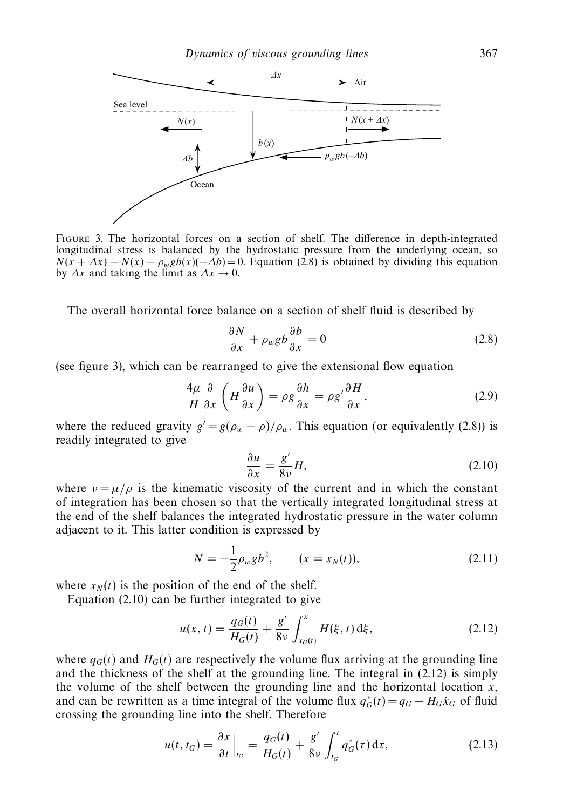

Figure 3. The horizontal forces on a section of shelf. The difference in depth-integrated longitudinal stress is balanced by the hydrostatic pressure from the underlying ocean, so  $N(x + \Delta x) - N(x) - \rho_w g b(x) (-\Delta b) = 0$ . Equation (2.8) is obtained by dividing this equation by  $\Delta x$  and taking the limit as  $\Delta x \rightarrow 0$ .

The overall horizontal force balance on a section of shelf fluid is described by

$$
\frac{\partial N}{\partial x} + \rho_w g b \frac{\partial b}{\partial x} = 0 \tag{2.8}
$$

(see figure 3), which can be rearranged to give the extensional flow equation

$$
\frac{4\mu}{H}\frac{\partial}{\partial x}\left(H\frac{\partial u}{\partial x}\right) = \rho g \frac{\partial h}{\partial x} = \rho g' \frac{\partial H}{\partial x},\tag{2.9}
$$

where the reduced gravity  $g' = g(\rho_w - \rho)/\rho_w$ . This equation (or equivalently (2.8)) is readily integrated to give

$$
\frac{\partial u}{\partial x} = \frac{g'}{8\nu}H,\tag{2.10}
$$

where  $v = \mu/\rho$  is the kinematic viscosity of the current and in which the constant of integration has been chosen so that the vertically integrated longitudinal stress at the end of the shelf balances the integrated hydrostatic pressure in the water column adjacent to it. This latter condition is expressed by

$$
N = -\frac{1}{2}\rho_w g b^2, \qquad (x = x_N(t)), \tag{2.11}
$$

where  $x_N(t)$  is the position of the end of the shelf.

Equation (2.10) can be further integrated to give

$$
u(x,t) = \frac{q_G(t)}{H_G(t)} + \frac{g'}{8\nu} \int_{x_G(t)}^x H(\xi, t) \,d\xi, \tag{2.12}
$$

where  $q_G(t)$  and  $H_G(t)$  are respectively the volume flux arriving at the grounding line and the thickness of the shelf at the grounding line. The integral in (2.12) is simply the volume of the shelf between the grounding line and the horizontal location  $x$ , and can be rewritten as a time integral of the volume flux  $q_{G}^{*}(t) = q_{G} - H_{G}x_{G}$  of fluid crossing the grounding line into the shelf. Therefore

$$
u(t, t_G) = \frac{\partial x}{\partial t}\Big|_{t_G} = \frac{q_G(t)}{H_G(t)} + \frac{g'}{8\nu} \int_{t_G}^t q_G^*(\tau) d\tau,
$$
\n(2.13)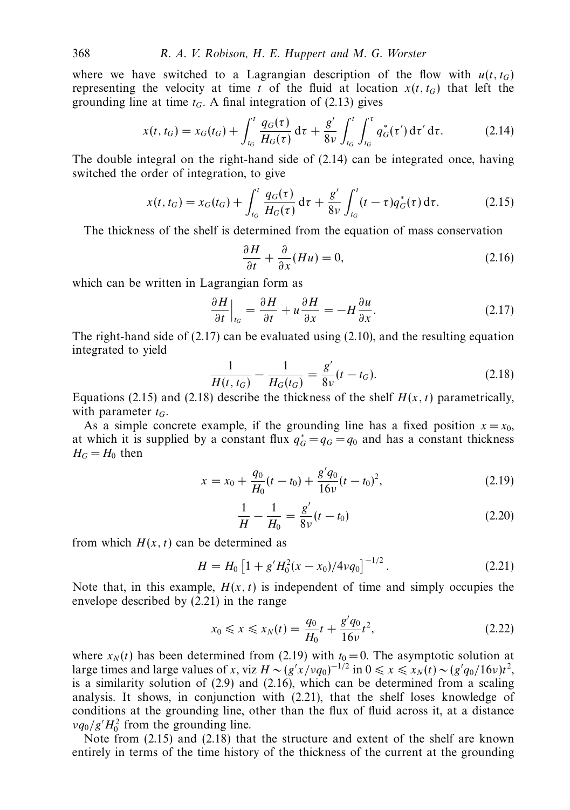where we have switched to a Lagrangian description of the flow with  $u(t, t_G)$ representing the velocity at time *t* of the fluid at location  $x(t, t_G)$  that left the grounding line at time  $t_G$ . A final integration of (2.13) gives

$$
x(t, t_G) = x_G(t_G) + \int_{t_G}^t \frac{q_G(\tau)}{H_G(\tau)} d\tau + \frac{g'}{8\nu} \int_{t_G}^t \int_{t_G}^\tau q_G^*(\tau') d\tau' d\tau.
$$
 (2.14)

The double integral on the right-hand side of  $(2.14)$  can be integrated once, having switched the order of integration, to give

$$
x(t, t_G) = x_G(t_G) + \int_{t_G}^t \frac{q_G(\tau)}{H_G(\tau)} d\tau + \frac{g'}{8\nu} \int_{t_G}^t (t - \tau) q_G^*(\tau) d\tau.
$$
 (2.15)

The thickness of the shelf is determined from the equation of mass conservation

$$
\frac{\partial H}{\partial t} + \frac{\partial}{\partial x}(Hu) = 0,\t(2.16)
$$

which can be written in Lagrangian form as

$$
\frac{\partial H}{\partial t}\Big|_{t_G} = \frac{\partial H}{\partial t} + u \frac{\partial H}{\partial x} = -H \frac{\partial u}{\partial x}.
$$
 (2.17)

The right-hand side of  $(2.17)$  can be evaluated using  $(2.10)$ , and the resulting equation integrated to yield

$$
\frac{1}{H(t, t_G)} - \frac{1}{H_G(t_G)} = \frac{g'}{8\nu}(t - t_G). \tag{2.18}
$$

Equations (2.15) and (2.18) describe the thickness of the shelf  $H(x, t)$  parametrically, with parameter  $t_G$ .

As a simple concrete example, if the grounding line has a fixed position  $x = x_0$ , at which it is supplied by a constant flux  $q_G^* = q_G = q_0$  and has a constant thickness  $H_G = H_0$  then

$$
x = x_0 + \frac{q_0}{H_0}(t - t_0) + \frac{g'q_0}{16\nu}(t - t_0)^2,
$$
\n(2.19)

$$
\frac{1}{H} - \frac{1}{H_0} = \frac{g'}{8\nu}(t - t_0)
$$
\n(2.20)

from which  $H(x, t)$  can be determined as

$$
H = H_0 \left[ 1 + g'H_0^2(x - x_0)/4\nu q_0 \right]^{-1/2}.
$$
 (2.21)

Note that, in this example,  $H(x, t)$  is independent of time and simply occupies the envelope described by (2.21) in the range

$$
x_0 \le x \le x_N(t) = \frac{q_0}{H_0}t + \frac{g'q_0}{16\nu}t^2,
$$
\n(2.22)

where  $x_N(t)$  has been determined from (2.19) with  $t_0 = 0$ . The asymptotic solution at large times and large values of *x*, viz  $H \sim (g'x/vq_0)^{-1/2}$  in  $0 \le x \le x_N(t) \sim (g'q_0/16v)t^2$ , is a similarity solution of  $(2.9)$  and  $(2.16)$ , which can be determined from a scaling analysis. It shows, in conjunction with (2.21), that the shelf loses knowledge of conditions at the grounding line, other than the flux of fluid across it, at a distance  $vq_0/g'H_0^2$  from the grounding line.

Note from  $(2.15)$  and  $(2.18)$  that the structure and extent of the shelf are known entirely in terms of the time history of the thickness of the current at the grounding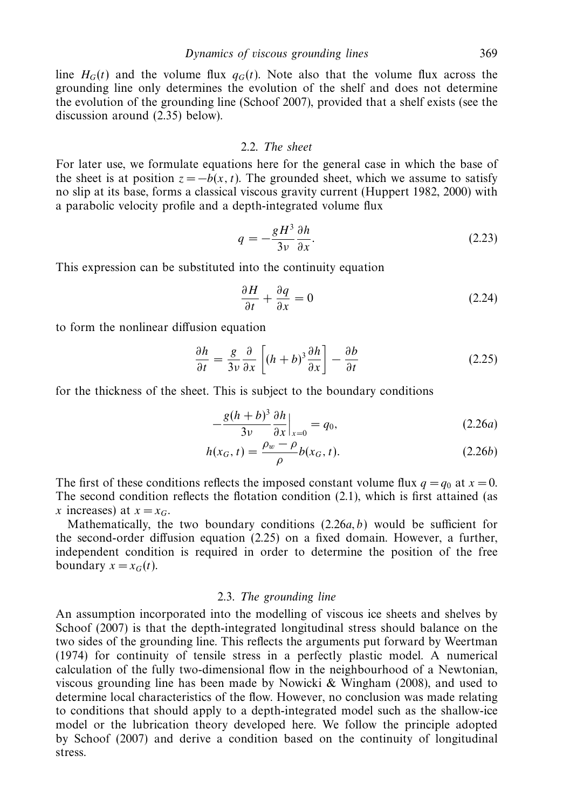line  $H_G(t)$  and the volume flux  $q_G(t)$ . Note also that the volume flux across the grounding line only determines the evolution of the shelf and does not determine the evolution of the grounding line (Schoof 2007), provided that a shelf exists (see the discussion around (2.35) below).

#### 2.2. The sheet

For later use, we formulate equations here for the general case in which the base of the sheet is at position  $z = -b(x, t)$ . The grounded sheet, which we assume to satisfy no slip at its base, forms a classical viscous gravity current (Huppert 1982, 2000) with a parabolic velocity profile and a depth-integrated volume flux

$$
q = -\frac{gH^3}{3\nu}\frac{\partial h}{\partial x}.\tag{2.23}
$$

This expression can be substituted into the continuity equation

$$
\frac{\partial H}{\partial t} + \frac{\partial q}{\partial x} = 0 \tag{2.24}
$$

to form the nonlinear diffusion equation

$$
\frac{\partial h}{\partial t} = \frac{g}{3\nu} \frac{\partial}{\partial x} \left[ (h+b)^3 \frac{\partial h}{\partial x} \right] - \frac{\partial b}{\partial t}
$$
 (2.25)

for the thickness of the sheet. This is subject to the boundary conditions

$$
-\frac{g(h+b)^3}{3v}\frac{\partial h}{\partial x}\Big|_{x=0} = q_0,\tag{2.26a}
$$

$$
h(x_G, t) = \frac{\rho_w - \rho}{\rho} b(x_G, t).
$$
 (2.26b)

The first of these conditions reflects the imposed constant volume flux  $q = q_0$  at  $x = 0$ . The second condition reflects the flotation condition (2.1), which is first attained (as *x* increases) at  $x = x_G$ .

Mathematically, the two boundary conditions  $(2.26a, b)$  would be sufficient for the second-order diffusion equation (2.25) on a fixed domain. However, a further, independent condition is required in order to determine the position of the free boundary  $x = x_G(t)$ .

#### 2.3. The grounding line

An assumption incorporated into the modelling of viscous ice sheets and shelves by Schoof (2007) is that the depth-integrated longitudinal stress should balance on the two sides of the grounding line. This reflects the arguments put forward by Weertman (1974) for continuity of tensile stress in a perfectly plastic model. A numerical calculation of the fully two-dimensional flow in the neighbourhood of a Newtonian, viscous grounding line has been made by Nowicki & Wingham (2008), and used to determine local characteristics of the flow. However, no conclusion was made relating to conditions that should apply to a depth-integrated model such as the shallow-ice model or the lubrication theory developed here. We follow the principle adopted by Schoof (2007) and derive a condition based on the continuity of longitudinal stress.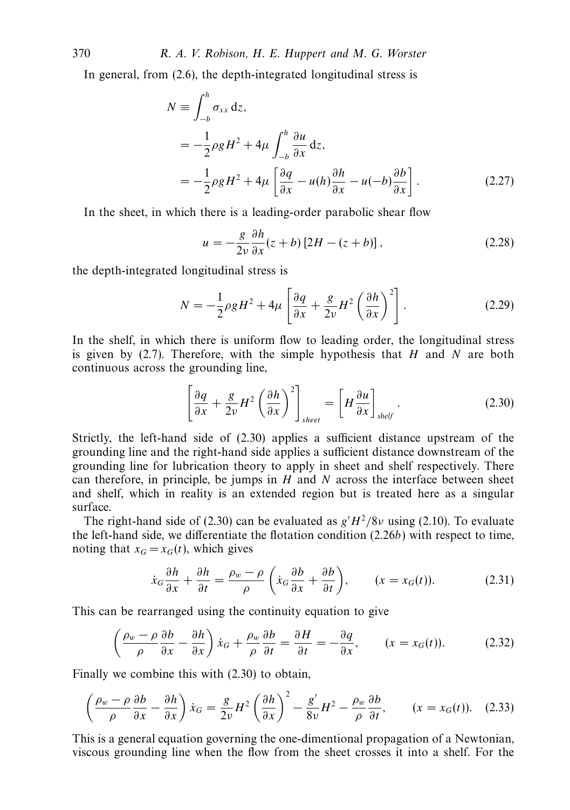In general, from (2.6), the depth-integrated longitudinal stress is

$$
N = \int_{-b}^{h} \sigma_{xx} dz,
$$
  
=  $-\frac{1}{2} \rho g H^2 + 4\mu \int_{-b}^{h} \frac{\partial u}{\partial x} dz,$   
=  $-\frac{1}{2} \rho g H^2 + 4\mu \left[ \frac{\partial q}{\partial x} - u(h) \frac{\partial h}{\partial x} - u(-b) \frac{\partial b}{\partial x} \right].$  (2.27)

In the sheet, in which there is a leading-order parabolic shear flow

$$
u = -\frac{g}{2\nu}\frac{\partial h}{\partial x}(z+b)\left[2H - (z+b)\right],\tag{2.28}
$$

the depth-integrated longitudinal stress is

$$
N = -\frac{1}{2}\rho g H^2 + 4\mu \left[ \frac{\partial q}{\partial x} + \frac{g}{2\nu} H^2 \left( \frac{\partial h}{\partial x} \right)^2 \right].
$$
 (2.29)

In the shelf, in which there is uniform flow to leading order, the longitudinal stress is given by (2.7). Therefore, with the simple hypothesis that *H* and *N* are both continuous across the grounding line,

$$
\left[\frac{\partial q}{\partial x} + \frac{g}{2\nu} H^2 \left(\frac{\partial h}{\partial x}\right)^2\right]_{sheet} = \left[H\frac{\partial u}{\partial x}\right]_{shelf}.
$$
 (2.30)

Strictly, the left-hand side of (2.30) applies a sufficient distance upstream of the grounding line and the right-hand side applies a sufficient distance downstream of the grounding line for lubrication theory to apply in sheet and shelf respectively. There can therefore, in principle, be jumps in *H* and *N* across the interface between sheet and shelf, which in reality is an extended region but is treated here as a singular surface.

The right-hand side of (2.30) can be evaluated as  $g'H^2/8\nu$  using (2.10). To evaluate the left-hand side, we differentiate the flotation condition (2.26b) with respect to time, noting that  $x_G = x_G(t)$ , which gives

$$
\dot{x}_G \frac{\partial h}{\partial x} + \frac{\partial h}{\partial t} = \frac{\rho_w - \rho}{\rho} \left( \dot{x}_G \frac{\partial b}{\partial x} + \frac{\partial b}{\partial t} \right), \qquad (x = x_G(t)). \tag{2.31}
$$

This can be rearranged using the continuity equation to give

$$
\left(\frac{\rho_w - \rho}{\rho} \frac{\partial b}{\partial x} - \frac{\partial h}{\partial x}\right) \dot{x}_G + \frac{\rho_w}{\rho} \frac{\partial b}{\partial t} = \frac{\partial H}{\partial t} = -\frac{\partial q}{\partial x}, \qquad (x = x_G(t)). \tag{2.32}
$$

Finally we combine this with (2.30) to obtain,

$$
\left(\frac{\rho_w - \rho}{\rho} \frac{\partial b}{\partial x} - \frac{\partial h}{\partial x}\right) \dot{x}_G = \frac{g}{2\nu} H^2 \left(\frac{\partial h}{\partial x}\right)^2 - \frac{g'}{8\nu} H^2 - \frac{\rho_w}{\rho} \frac{\partial b}{\partial t}, \qquad (x = x_G(t)). \quad (2.33)
$$

This is a general equation governing the one-dimentional propagation of a Newtonian, viscous grounding line when the flow from the sheet crosses it into a shelf. For the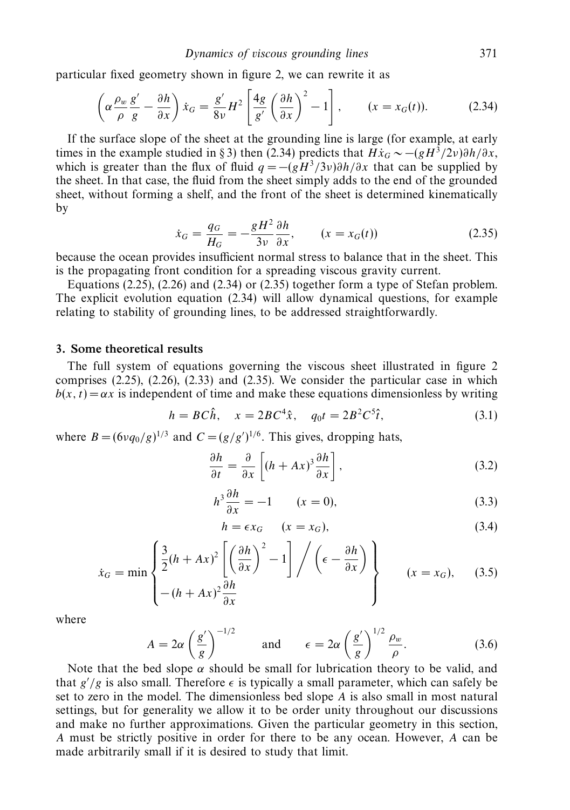particular fixed geometry shown in figure 2, we can rewrite it as

$$
\left(\alpha \frac{\rho_w}{\rho} \frac{g'}{g} - \frac{\partial h}{\partial x}\right) \dot{x}_G = \frac{g'}{8\nu} H^2 \left[\frac{4g}{g'} \left(\frac{\partial h}{\partial x}\right)^2 - 1\right], \qquad (x = x_G(t)). \tag{2.34}
$$

If the surface slope of the sheet at the grounding line is large (for example, at early times in the example studied in § 3) then (2.34) predicts that  $H\dot{x}_G \sim -(gH^3/2v)\partial h/\partial x$ , which is greater than the flux of fluid  $q = -(gH^3/3v)\partial h/\partial x$  that can be supplied by the sheet. In that case, the fluid from the sheet simply adds to the end of the grounded sheet, without forming a shelf, and the front of the sheet is determined kinematically by

$$
\dot{x}_G = \frac{q_G}{H_G} = -\frac{gH^2}{3v} \frac{\partial h}{\partial x}, \qquad (x = x_G(t)) \tag{2.35}
$$

because the ocean provides insufficient normal stress to balance that in the sheet. This is the propagating front condition for a spreading viscous gravity current.

Equations  $(2.25)$ ,  $(2.26)$  and  $(2.34)$  or  $(2.35)$  together form a type of Stefan problem. The explicit evolution equation (2.34) will allow dynamical questions, for example relating to stability of grounding lines, to be addressed straightforwardly.

## *3. Some theoretical results*

The full system of equations governing the viscous sheet illustrated in figure 2 comprises (2.25), (2.26), (2.33) and (2.35). We consider the particular case in which  $b(x, t) = \alpha x$  is independent of time and make these equations dimensionless by writing

$$
h = BC\hat{h}, \quad x = 2BC^4\hat{x}, \quad q_0 t = 2B^2C^5\hat{t},
$$
 (3.1)

where  $B = (6\nu q_0/g)^{1/3}$  and  $C = (g/g')^{1/6}$ . This gives, dropping hats,

$$
\frac{\partial h}{\partial t} = \frac{\partial}{\partial x} \left[ (h + Ax)^3 \frac{\partial h}{\partial x} \right],\tag{3.2}
$$

$$
h^3 \frac{\partial h}{\partial x} = -1 \qquad (x = 0), \tag{3.3}
$$

$$
h = \epsilon x_G \qquad (x = x_G), \tag{3.4}
$$

$$
\dot{x}_G = \min \left\{ \frac{3}{2} (h + Ax)^2 \left[ \left( \frac{\partial h}{\partial x} \right)^2 - 1 \right] \Big/ \left( \epsilon - \frac{\partial h}{\partial x} \right) \right\} \qquad (x = x_G), \qquad (3.5)
$$

where

$$
A = 2\alpha \left(\frac{g'}{g}\right)^{-1/2} \quad \text{and} \quad \epsilon = 2\alpha \left(\frac{g'}{g}\right)^{1/2} \frac{\rho_w}{\rho}.\tag{3.6}
$$

Note that the bed slope  $\alpha$  should be small for lubrication theory to be valid, and that  $g'/g$  is also small. Therefore  $\epsilon$  is typically a small parameter, which can safely be set to zero in the model. The dimensionless bed slope *A* is also small in most natural settings, but for generality we allow it to be order unity throughout our discussions and make no further approximations. Given the particular geometry in this section, *A* must be strictly positive in order for there to be any ocean. However, *A* can be made arbitrarily small if it is desired to study that limit.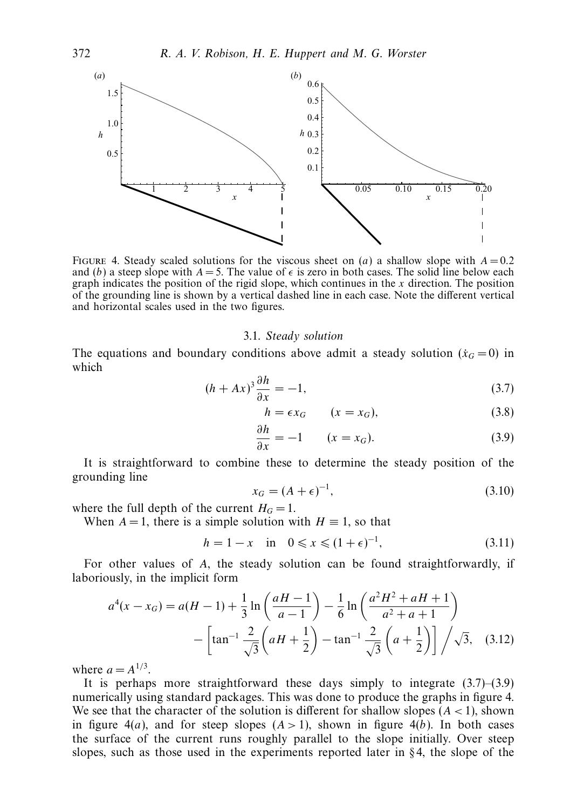

FIGURE 4. Steady scaled solutions for the viscous sheet on (*a*) a shallow slope with  $A = 0.2$ and (b) a steep slope with  $A = 5$ . The value of  $\epsilon$  is zero in both cases. The solid line below each graph indicates the position of the rigid slope, which continues in the *x* direction. The position of the grounding line is shown by a vertical dashed line in each case. Note the different vertical and horizontal scales used in the two figures.

#### 3.1. Steady solution

The equations and boundary conditions above admit a steady solution  $(\dot{x}_G = 0)$  in which

$$
(h + Ax)^3 \frac{\partial h}{\partial x} = -1,\tag{3.7}
$$

$$
h = \epsilon x_G \qquad (x = x_G), \tag{3.8}
$$

$$
\frac{\partial h}{\partial x} = -1 \qquad (x = x_G). \tag{3.9}
$$

It is straightforward to combine these to determine the steady position of the grounding line

$$
x_G = (A + \epsilon)^{-1},
$$
\n(3.10)

where the full depth of the current  $H_G = 1$ .

When  $A = 1$ , there is a simple solution with  $H \equiv 1$ , so that

$$
h = 1 - x
$$
 in  $0 \le x \le (1 + \epsilon)^{-1}$ , (3.11)

For other values of *A*, the steady solution can be found straightforwardly, if laboriously, in the implicit form

$$
a^{4}(x - x_{G}) = a(H - 1) + \frac{1}{3}\ln\left(\frac{aH - 1}{a - 1}\right) - \frac{1}{6}\ln\left(\frac{a^{2}H^{2} + aH + 1}{a^{2} + a + 1}\right)
$$

$$
-\left[\tan^{-1}\frac{2}{\sqrt{3}}\left(aH + \frac{1}{2}\right) - \tan^{-1}\frac{2}{\sqrt{3}}\left(a + \frac{1}{2}\right)\right] / \sqrt{3}, \quad (3.12)
$$

where  $a = A^{1/3}$ .

It is perhaps more straightforward these days simply to integrate  $(3.7)$ – $(3.9)$ numerically using standard packages. This was done to produce the graphs in figure 4. We see that the character of the solution is different for shallow slopes  $(A < 1)$ , shown in figure  $4(a)$ , and for steep slopes  $(A>1)$ , shown in figure  $4(b)$ . In both cases the surface of the current runs roughly parallel to the slope initially. Over steep slopes, such as those used in the experiments reported later in § 4, the slope of the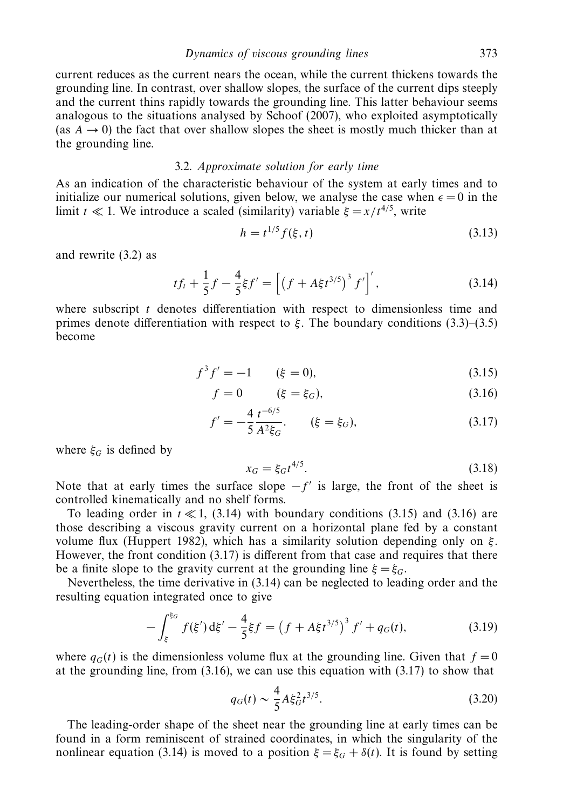current reduces as the current nears the ocean, while the current thickens towards the grounding line. In contrast, over shallow slopes, the surface of the current dips steeply and the current thins rapidly towards the grounding line. This latter behaviour seems analogous to the situations analysed by Schoof (2007), who exploited asymptotically (as  $A \rightarrow 0$ ) the fact that over shallow slopes the sheet is mostly much thicker than at the grounding line.

#### 3.2. Approximate solution for early time

As an indication of the characteristic behaviour of the system at early times and to initialize our numerical solutions, given below, we analyse the case when  $\epsilon = 0$  in the limit *t*  $\ll$  1. We introduce a scaled (similarity) variable  $\xi = x/t^{4/5}$ , write

$$
h = t^{1/5} f(\xi, t) \tag{3.13}
$$

and rewrite (3.2) as

$$
tf_t + \frac{1}{5}f - \frac{4}{5}\xi f' = \left[ \left( f + A\xi t^{3/5} \right)^3 f' \right]',
$$
\n(3.14)

where subscript *t* denotes differentiation with respect to dimensionless time and primes denote differentiation with respect to  $\xi$ . The boundary conditions (3.3)–(3.5) become

$$
f^3 f' = -1 \qquad (\xi = 0), \tag{3.15}
$$

$$
f = 0 \qquad (\xi = \xi_G), \tag{3.16}
$$

$$
f' = -\frac{4}{5} \frac{t^{-6/5}}{A^2 \xi_G}.
$$
  $(\xi = \xi_G),$  (3.17)

where  $\xi_G$  is defined by

$$
x_G = \xi_G t^{4/5}.
$$
\n(3.18)

Note that at early times the surface slope  $-f'$  is large, the front of the sheet is controlled kinematically and no shelf forms.

To leading order in  $t \ll 1$ , (3.14) with boundary conditions (3.15) and (3.16) are those describing a viscous gravity current on a horizontal plane fed by a constant volume flux (Huppert 1982), which has a similarity solution depending only on *ξ* . However, the front condition (3.17) is different from that case and requires that there be a finite slope to the gravity current at the grounding line  $\xi = \xi_G$ .

Nevertheless, the time derivative in (3.14) can be neglected to leading order and the resulting equation integrated once to give

$$
-\int_{\xi}^{\xi_G} f(\xi') d\xi' - \frac{4}{5} \xi f = \left(f + A \xi t^{3/5}\right)^3 f' + q_G(t),\tag{3.19}
$$

where  $q_G(t)$  is the dimensionless volume flux at the grounding line. Given that  $f = 0$ at the grounding line, from (3.16), we can use this equation with (3.17) to show that

$$
q_G(t) \sim \frac{4}{5} A \xi_G^2 t^{3/5}.
$$
 (3.20)

The leading-order shape of the sheet near the grounding line at early times can be found in a form reminiscent of strained coordinates, in which the singularity of the nonlinear equation (3.14) is moved to a position  $\xi = \xi_G + \delta(t)$ . It is found by setting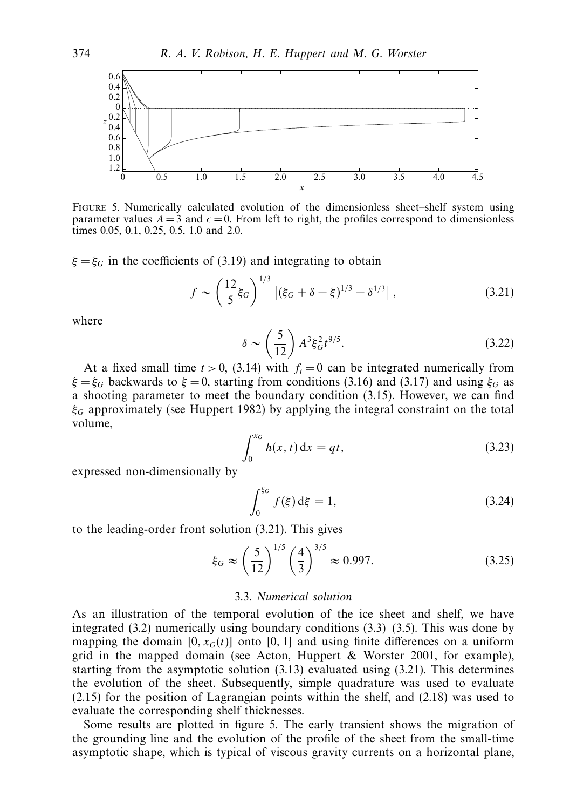

Figure 5. Numerically calculated evolution of the dimensionless sheet–shelf system using parameter values  $A = 3$  and  $\epsilon = 0$ . From left to right, the profiles correspond to dimensionless times 0.05, 0.1, 0.25, 0.5, 1.0 and 2.0.

 $\xi = \xi_G$  in the coefficients of (3.19) and integrating to obtain

$$
f \sim \left(\frac{12}{5}\xi_G\right)^{1/3} \left[ (\xi_G + \delta - \xi)^{1/3} - \delta^{1/3} \right],\tag{3.21}
$$

where

$$
\delta \sim \left(\frac{5}{12}\right) A^3 \xi_G^2 t^{9/5}.\tag{3.22}
$$

At a fixed small time  $t > 0$ , (3.14) with  $f_t = 0$  can be integrated numerically from  $\xi = \xi_G$  backwards to  $\xi = 0$ , starting from conditions (3.16) and (3.17) and using  $\xi_G$  as a shooting parameter to meet the boundary condition (3.15). However, we can find  $\xi_G$  approximately (see Huppert 1982) by applying the integral constraint on the total volume,

$$
\int_0^{x_G} h(x, t) \, \mathrm{d}x = qt,\tag{3.23}
$$

expressed non-dimensionally by

$$
\int_0^{\xi_G} f(\xi) \, d\xi = 1,\tag{3.24}
$$

to the leading-order front solution (3.21). This gives

$$
\xi_G \approx \left(\frac{5}{12}\right)^{1/5} \left(\frac{4}{3}\right)^{3/5} \approx 0.997. \tag{3.25}
$$

## 3.3. Numerical solution

As an illustration of the temporal evolution of the ice sheet and shelf, we have integrated (3.2) numerically using boundary conditions (3.3)–(3.5). This was done by mapping the domain  $[0, x_G(t)]$  onto  $[0, 1]$  and using finite differences on a uniform grid in the mapped domain (see Acton, Huppert  $\&$  Worster 2001, for example), starting from the asymptotic solution (3.13) evaluated using (3.21). This determines the evolution of the sheet. Subsequently, simple quadrature was used to evaluate (2.15) for the position of Lagrangian points within the shelf, and (2.18) was used to evaluate the corresponding shelf thicknesses.

Some results are plotted in figure 5. The early transient shows the migration of the grounding line and the evolution of the profile of the sheet from the small-time asymptotic shape, which is typical of viscous gravity currents on a horizontal plane,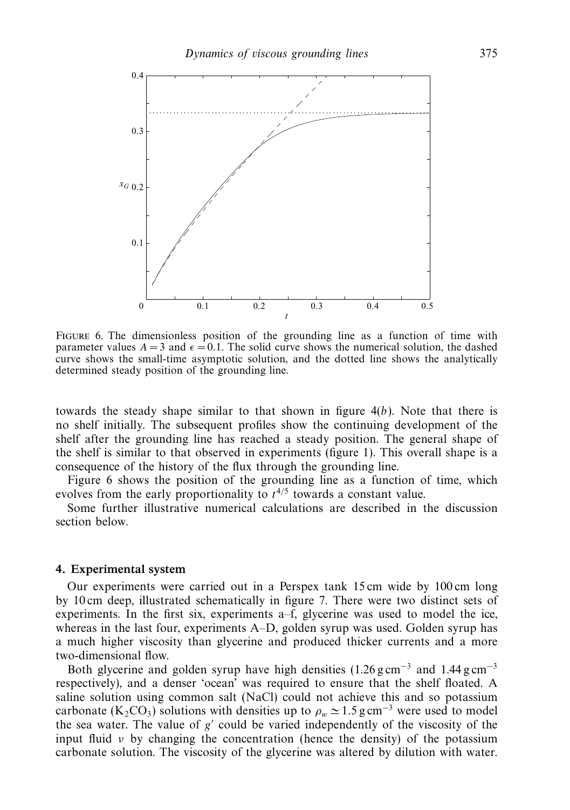

Figure 6. The dimensionless position of the grounding line as a function of time with parameter values  $A = 3$  and  $\epsilon = 0.1$ . The solid curve shows the numerical solution, the dashed curve shows the small-time asymptotic solution, and the dotted line shows the analytically determined steady position of the grounding line.

towards the steady shape similar to that shown in figure  $4(b)$ . Note that there is no shelf initially. The subsequent profiles show the continuing development of the shelf after the grounding line has reached a steady position. The general shape of the shelf is similar to that observed in experiments (figure 1). This overall shape is a consequence of the history of the flux through the grounding line.

Figure 6 shows the position of the grounding line as a function of time, which evolves from the early proportionality to  $t^{4/5}$  towards a constant value.

Some further illustrative numerical calculations are described in the discussion section below.

#### *4. Experimental system*

Our experiments were carried out in a Perspex tank 15 cm wide by 100 cm long by 10 cm deep, illustrated schematically in figure 7. There were two distinct sets of experiments. In the first six, experiments a–f, glycerine was used to model the ice, whereas in the last four, experiments A–D, golden syrup was used. Golden syrup has a much higher viscosity than glycerine and produced thicker currents and a more two-dimensional flow.

Both glycerine and golden syrup have high densities  $(1.26 \text{ g cm}^{-3} \text{ and } 1.44 \text{ g cm}^{-3}$ respectively), and a denser 'ocean' was required to ensure that the shelf floated. A saline solution using common salt (NaCl) could not achieve this and so potassium carbonate (K<sub>2</sub>CO<sub>3</sub>) solutions with densities up to  $\rho_w \approx 1.5 \text{ g cm}^{-3}$  were used to model the sea water. The value of  $g'$  could be varied independently of the viscosity of the input fluid  $\nu$  by changing the concentration (hence the density) of the potassium carbonate solution. The viscosity of the glycerine was altered by dilution with water.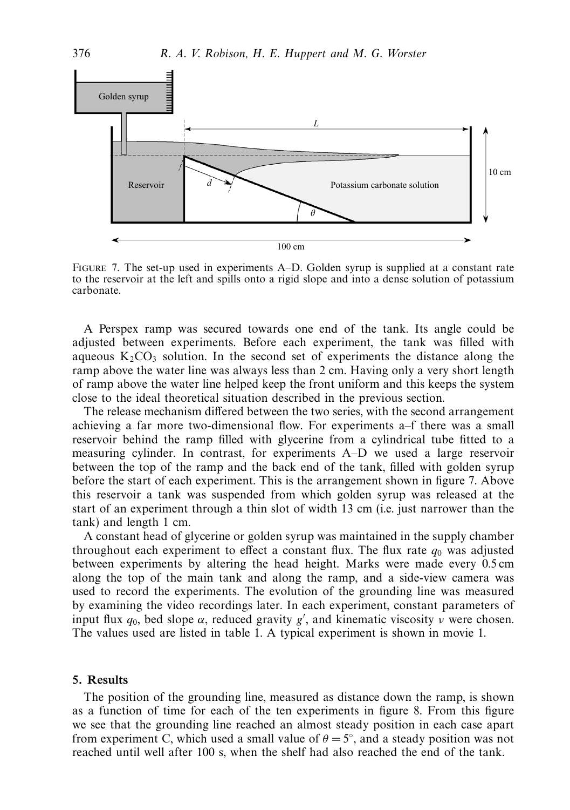

Figure 7. The set-up used in experiments A–D. Golden syrup is supplied at a constant rate to the reservoir at the left and spills onto a rigid slope and into a dense solution of potassium carbonate.

A Perspex ramp was secured towards one end of the tank. Its angle could be adjusted between experiments. Before each experiment, the tank was filled with aqueous  $K_2CO_3$  solution. In the second set of experiments the distance along the ramp above the water line was always less than 2 cm. Having only a very short length of ramp above the water line helped keep the front uniform and this keeps the system close to the ideal theoretical situation described in the previous section.

The release mechanism differed between the two series, with the second arrangement achieving a far more two-dimensional flow. For experiments a–f there was a small reservoir behind the ramp filled with glycerine from a cylindrical tube fitted to a measuring cylinder. In contrast, for experiments A–D we used a large reservoir between the top of the ramp and the back end of the tank, filled with golden syrup before the start of each experiment. This is the arrangement shown in figure 7. Above this reservoir a tank was suspended from which golden syrup was released at the start of an experiment through a thin slot of width 13 cm (i.e. just narrower than the tank) and length 1 cm.

A constant head of glycerine or golden syrup was maintained in the supply chamber throughout each experiment to effect a constant flux. The flux rate  $q_0$  was adjusted between experiments by altering the head height. Marks were made every 0.5 cm along the top of the main tank and along the ramp, and a side-view camera was used to record the experiments. The evolution of the grounding line was measured by examining the video recordings later. In each experiment, constant parameters of input flux *q*0, bed slope *α*, reduced gravity *g* , and kinematic viscosity *ν* were chosen. The values used are listed in table 1. A typical experiment is shown in movie 1.

## *5. Results*

The position of the grounding line, measured as distance down the ramp, is shown as a function of time for each of the ten experiments in figure 8. From this figure we see that the grounding line reached an almost steady position in each case apart from experiment C, which used a small value of  $\theta = 5^\circ$ , and a steady position was not reached until well after 100 s, when the shelf had also reached the end of the tank.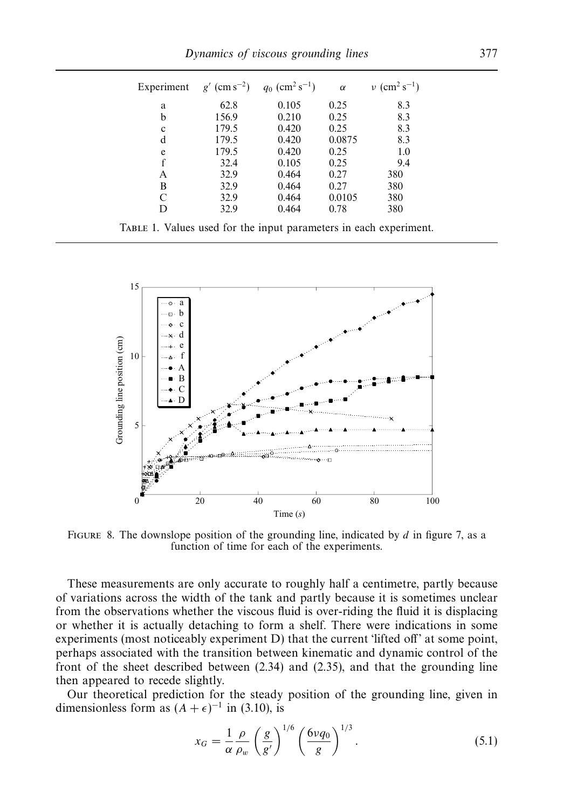| $g'$ (cm s <sup>-2</sup> ) | $q_0$ (cm <sup>2</sup> s <sup>-1</sup> ) | $\alpha$ | $\nu$ (cm <sup>2</sup> s <sup>-1</sup> ) |
|----------------------------|------------------------------------------|----------|------------------------------------------|
| 62.8                       | 0.105                                    | 0.25     | 8.3                                      |
| 156.9                      | 0.210                                    | 0.25     | 8.3                                      |
| 179.5                      | 0.420                                    | 0.25     | 8.3                                      |
| 179.5                      | 0.420                                    | 0.0875   | 8.3                                      |
| 179.5                      | 0.420                                    | 0.25     | 1.0                                      |
| 32.4                       | 0.105                                    | 0.25     | 9.4                                      |
| 32.9                       | 0.464                                    | 0.27     | 380                                      |
| 32.9                       | 0.464                                    | 0.27     | 380                                      |
| 32.9                       | 0.464                                    | 0.0105   | 380                                      |
| 32.9                       | 0.464                                    | 0.78     | 380                                      |
|                            |                                          |          |                                          |

Table 1. Values used for the input parameters in each experiment.



FIGURE 8. The downslope position of the grounding line, indicated by *d* in figure 7, as a function of time for each of the experiments.

These measurements are only accurate to roughly half a centimetre, partly because of variations across the width of the tank and partly because it is sometimes unclear from the observations whether the viscous fluid is over-riding the fluid it is displacing or whether it is actually detaching to form a shelf. There were indications in some experiments (most noticeably experiment D) that the current 'lifted off' at some point, perhaps associated with the transition between kinematic and dynamic control of the front of the sheet described between (2.34) and (2.35), and that the grounding line then appeared to recede slightly.

Our theoretical prediction for the steady position of the grounding line, given in dimensionless form as  $(A + \epsilon)^{-1}$  in (3.10), is

$$
x_G = \frac{1}{\alpha} \frac{\rho}{\rho_w} \left(\frac{g}{g'}\right)^{1/6} \left(\frac{6\nu q_0}{g}\right)^{1/3}.
$$
 (5.1)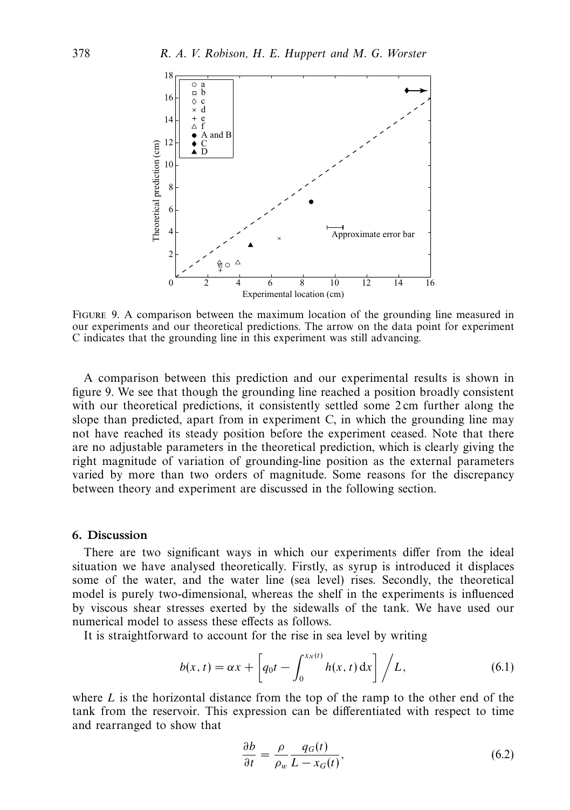

Figure 9. A comparison between the maximum location of the grounding line measured in our experiments and our theoretical predictions. The arrow on the data point for experiment C indicates that the grounding line in this experiment was still advancing.

A comparison between this prediction and our experimental results is shown in figure 9. We see that though the grounding line reached a position broadly consistent with our theoretical predictions, it consistently settled some 2 cm further along the slope than predicted, apart from in experiment C, in which the grounding line may not have reached its steady position before the experiment ceased. Note that there are no adjustable parameters in the theoretical prediction, which is clearly giving the right magnitude of variation of grounding-line position as the external parameters varied by more than two orders of magnitude. Some reasons for the discrepancy between theory and experiment are discussed in the following section.

#### *6. Discussion*

There are two significant ways in which our experiments differ from the ideal situation we have analysed theoretically. Firstly, as syrup is introduced it displaces some of the water, and the water line (sea level) rises. Secondly, the theoretical model is purely two-dimensional, whereas the shelf in the experiments is influenced by viscous shear stresses exerted by the sidewalls of the tank. We have used our numerical model to assess these effects as follows.

It is straightforward to account for the rise in sea level by writing

$$
b(x,t) = \alpha x + \left[ q_0 t - \int_0^{x_N(t)} h(x,t) \, dx \right] / L, \tag{6.1}
$$

where *L* is the horizontal distance from the top of the ramp to the other end of the tank from the reservoir. This expression can be differentiated with respect to time and rearranged to show that

$$
\frac{\partial b}{\partial t} = \frac{\rho}{\rho_w} \frac{q_G(t)}{L - x_G(t)},\tag{6.2}
$$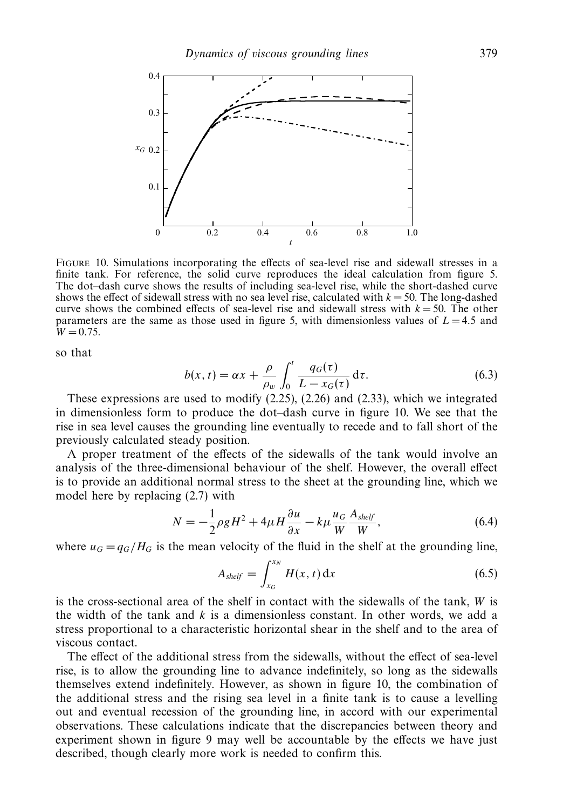

Figure 10. Simulations incorporating the effects of sea-level rise and sidewall stresses in a finite tank. For reference, the solid curve reproduces the ideal calculation from figure 5. The dot–dash curve shows the results of including sea-level rise, while the short-dashed curve shows the effect of sidewall stress with no sea level rise, calculated with  $k = 50$ . The long-dashed curve shows the combined effects of sea-level rise and sidewall stress with  $k = 50$ . The other parameters are the same as those used in figure 5, with dimensionless values of  $L = 4.5$  and  $W = 0.75$ .

so that

$$
b(x,t) = \alpha x + \frac{\rho}{\rho_w} \int_0^t \frac{q_G(\tau)}{L - x_G(\tau)} d\tau.
$$
 (6.3)

These expressions are used to modify (2.25), (2.26) and (2.33), which we integrated in dimensionless form to produce the dot–dash curve in figure 10. We see that the rise in sea level causes the grounding line eventually to recede and to fall short of the previously calculated steady position.

A proper treatment of the effects of the sidewalls of the tank would involve an analysis of the three-dimensional behaviour of the shelf. However, the overall effect is to provide an additional normal stress to the sheet at the grounding line, which we model here by replacing (2.7) with

$$
N = -\frac{1}{2}\rho g H^2 + 4\mu H \frac{\partial u}{\partial x} - k\mu \frac{u_G}{W} \frac{A_{shelf}}{W},\tag{6.4}
$$

where  $u_G = q_G/H_G$  is the mean velocity of the fluid in the shelf at the grounding line,

$$
A_{shelf} = \int_{x_G}^{x_N} H(x, t) \, \mathrm{d}x \tag{6.5}
$$

is the cross-sectional area of the shelf in contact with the sidewalls of the tank, *W* is the width of the tank and *k* is a dimensionless constant. In other words, we add a stress proportional to a characteristic horizontal shear in the shelf and to the area of viscous contact.

The effect of the additional stress from the sidewalls, without the effect of sea-level rise, is to allow the grounding line to advance indefinitely, so long as the sidewalls themselves extend indefinitely. However, as shown in figure 10, the combination of the additional stress and the rising sea level in a finite tank is to cause a levelling out and eventual recession of the grounding line, in accord with our experimental observations. These calculations indicate that the discrepancies between theory and experiment shown in figure 9 may well be accountable by the effects we have just described, though clearly more work is needed to confirm this.